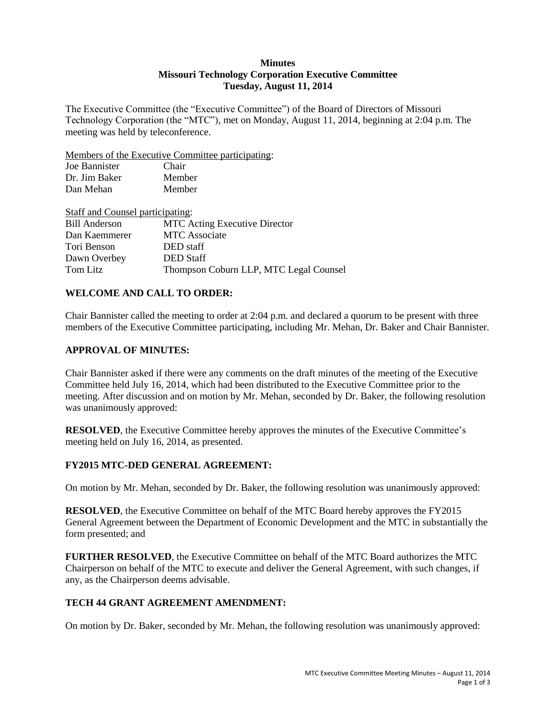#### **Minutes Missouri Technology Corporation Executive Committee Tuesday, August 11, 2014**

The Executive Committee (the "Executive Committee") of the Board of Directors of Missouri Technology Corporation (the "MTC"), met on Monday, August 11, 2014, beginning at 2:04 p.m. The meeting was held by teleconference.

Members of the Executive Committee participating:

| Joe Bannister | Chair  |
|---------------|--------|
| Dr. Jim Baker | Member |
| Dan Mehan     | Member |

| Staff and Counsel participating:       |
|----------------------------------------|
| <b>MTC</b> Acting Executive Director   |
| <b>MTC</b> Associate                   |
| DED staff                              |
| <b>DED</b> Staff                       |
| Thompson Coburn LLP, MTC Legal Counsel |
|                                        |

## **WELCOME AND CALL TO ORDER:**

Chair Bannister called the meeting to order at 2:04 p.m. and declared a quorum to be present with three members of the Executive Committee participating, including Mr. Mehan, Dr. Baker and Chair Bannister.

### **APPROVAL OF MINUTES:**

Chair Bannister asked if there were any comments on the draft minutes of the meeting of the Executive Committee held July 16, 2014, which had been distributed to the Executive Committee prior to the meeting. After discussion and on motion by Mr. Mehan, seconded by Dr. Baker, the following resolution was unanimously approved:

**RESOLVED**, the Executive Committee hereby approves the minutes of the Executive Committee's meeting held on July 16, 2014, as presented.

### **FY2015 MTC-DED GENERAL AGREEMENT:**

On motion by Mr. Mehan, seconded by Dr. Baker, the following resolution was unanimously approved:

**RESOLVED**, the Executive Committee on behalf of the MTC Board hereby approves the FY2015 General Agreement between the Department of Economic Development and the MTC in substantially the form presented; and

**FURTHER RESOLVED**, the Executive Committee on behalf of the MTC Board authorizes the MTC Chairperson on behalf of the MTC to execute and deliver the General Agreement, with such changes, if any, as the Chairperson deems advisable.

### **TECH 44 GRANT AGREEMENT AMENDMENT:**

On motion by Dr. Baker, seconded by Mr. Mehan, the following resolution was unanimously approved: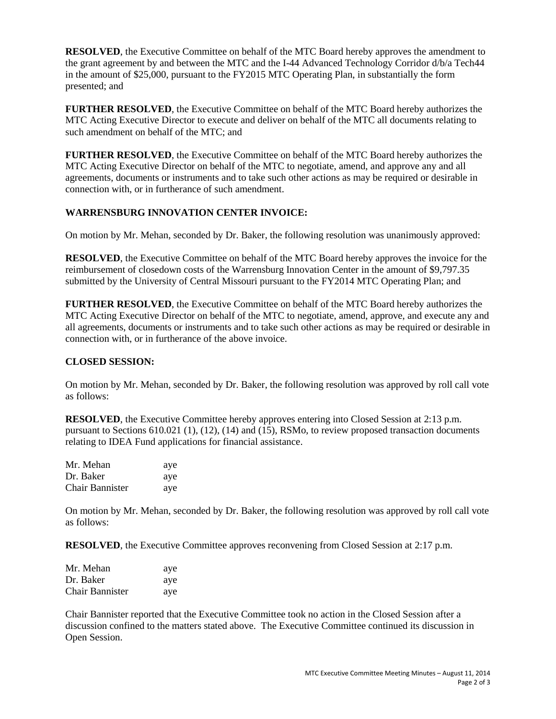**RESOLVED**, the Executive Committee on behalf of the MTC Board hereby approves the amendment to the grant agreement by and between the MTC and the I-44 Advanced Technology Corridor d/b/a Tech44 in the amount of \$25,000, pursuant to the FY2015 MTC Operating Plan, in substantially the form presented; and

**FURTHER RESOLVED**, the Executive Committee on behalf of the MTC Board hereby authorizes the MTC Acting Executive Director to execute and deliver on behalf of the MTC all documents relating to such amendment on behalf of the MTC; and

**FURTHER RESOLVED**, the Executive Committee on behalf of the MTC Board hereby authorizes the MTC Acting Executive Director on behalf of the MTC to negotiate, amend, and approve any and all agreements, documents or instruments and to take such other actions as may be required or desirable in connection with, or in furtherance of such amendment.

# **WARRENSBURG INNOVATION CENTER INVOICE:**

On motion by Mr. Mehan, seconded by Dr. Baker, the following resolution was unanimously approved:

**RESOLVED**, the Executive Committee on behalf of the MTC Board hereby approves the invoice for the reimbursement of closedown costs of the Warrensburg Innovation Center in the amount of \$9,797.35 submitted by the University of Central Missouri pursuant to the FY2014 MTC Operating Plan; and

**FURTHER RESOLVED**, the Executive Committee on behalf of the MTC Board hereby authorizes the MTC Acting Executive Director on behalf of the MTC to negotiate, amend, approve, and execute any and all agreements, documents or instruments and to take such other actions as may be required or desirable in connection with, or in furtherance of the above invoice.

### **CLOSED SESSION:**

On motion by Mr. Mehan, seconded by Dr. Baker, the following resolution was approved by roll call vote as follows:

**RESOLVED**, the Executive Committee hereby approves entering into Closed Session at 2:13 p.m. pursuant to Sections 610.021 (1), (12), (14) and (15), RSMo, to review proposed transaction documents relating to IDEA Fund applications for financial assistance.

| Mr. Mehan              | aye |
|------------------------|-----|
| Dr. Baker              | aye |
| <b>Chair Bannister</b> | aye |

On motion by Mr. Mehan, seconded by Dr. Baker, the following resolution was approved by roll call vote as follows:

**RESOLVED**, the Executive Committee approves reconvening from Closed Session at 2:17 p.m.

| Mr. Mehan              | aye |
|------------------------|-----|
| Dr. Baker              | aye |
| <b>Chair Bannister</b> | aye |

Chair Bannister reported that the Executive Committee took no action in the Closed Session after a discussion confined to the matters stated above. The Executive Committee continued its discussion in Open Session.